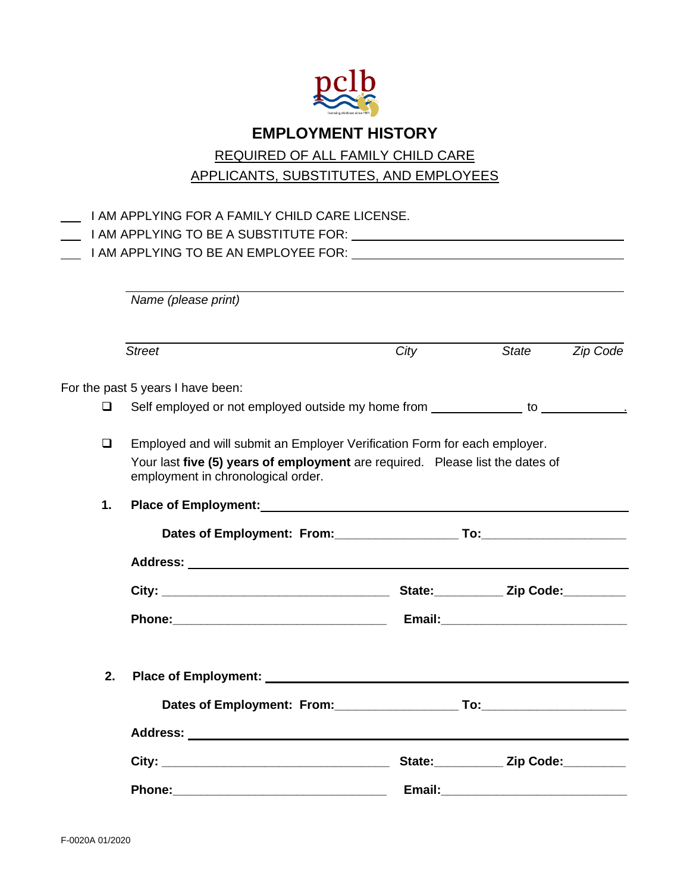

## **EMPLOYMENT HISTORY**

## REQUIRED OF ALL FAMILY CHILD CARE

APPLICANTS, SUBSTITUTES, AND EMPLOYEES

|        | I AM APPLYING FOR A FAMILY CHILD CARE LICENSE.                                                                                                                                                                                 |      |                  |          |  |
|--------|--------------------------------------------------------------------------------------------------------------------------------------------------------------------------------------------------------------------------------|------|------------------|----------|--|
|        |                                                                                                                                                                                                                                |      |                  |          |  |
|        |                                                                                                                                                                                                                                |      |                  |          |  |
|        | Name (please print)                                                                                                                                                                                                            |      |                  |          |  |
|        |                                                                                                                                                                                                                                |      |                  |          |  |
|        | <b>Street</b>                                                                                                                                                                                                                  | City | State            | Zip Code |  |
|        | For the past 5 years I have been:                                                                                                                                                                                              |      |                  |          |  |
| □      | Self employed or not employed outside my home from ______________ to ____________                                                                                                                                              |      |                  |          |  |
| $\Box$ | Employed and will submit an Employer Verification Form for each employer.<br>Your last five (5) years of employment are required. Please list the dates of<br>employment in chronological order.                               |      |                  |          |  |
| 1.     | Place of Employment: Note that the state of the state of the state of the state of the state of the state of the state of the state of the state of the state of the state of the state of the state of the state of the state |      |                  |          |  |
|        | Dates of Employment: From: To: To: To:                                                                                                                                                                                         |      |                  |          |  |
|        |                                                                                                                                                                                                                                |      |                  |          |  |
|        |                                                                                                                                                                                                                                |      |                  |          |  |
|        |                                                                                                                                                                                                                                |      |                  |          |  |
| 2.     |                                                                                                                                                                                                                                |      |                  |          |  |
|        |                                                                                                                                                                                                                                |      |                  |          |  |
|        |                                                                                                                                                                                                                                |      |                  |          |  |
|        |                                                                                                                                                                                                                                |      | State: Zip Code: |          |  |
|        |                                                                                                                                                                                                                                |      |                  |          |  |